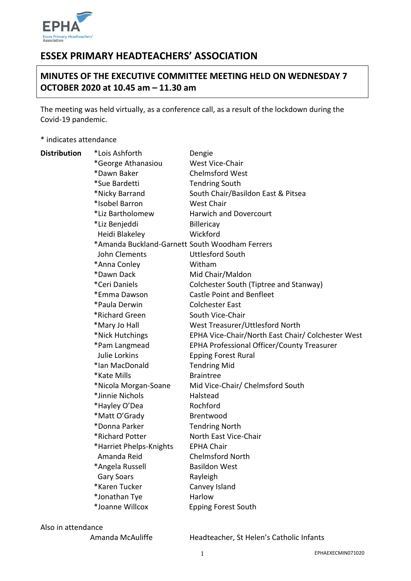

# **ESSEX PRIMARY HEADTEACHERS' ASSOCIATION**

# **MINUTES OF THE EXECUTIVE COMMITTEE MEETING HELD ON WEDNESDAY 7 OCTOBER 2020 at 10.45 am – 11.30 am**

The meeting was held virtually, as a conference call, as a result of the lockdown during the Covid-19 pandemic.

\* indicates attendance

| <b>Distribution</b> | *Lois Ashforth                                 | Dengie                                            |
|---------------------|------------------------------------------------|---------------------------------------------------|
|                     | *George Athanasiou                             | West Vice-Chair                                   |
|                     | *Dawn Baker                                    | <b>Chelmsford West</b>                            |
|                     | *Sue Bardetti                                  | <b>Tendring South</b>                             |
|                     | *Nicky Barrand                                 | South Chair/Basildon East & Pitsea                |
|                     | *Isobel Barron                                 | <b>West Chair</b>                                 |
|                     | *Liz Bartholomew                               | <b>Harwich and Dovercourt</b>                     |
|                     | *Liz Benjeddi                                  | <b>Billericay</b>                                 |
|                     | Heidi Blakeley                                 | Wickford                                          |
|                     | *Amanda Buckland-Garnett South Woodham Ferrers |                                                   |
|                     | John Clements                                  | <b>Uttlesford South</b>                           |
|                     | *Anna Conley                                   | Witham                                            |
|                     | *Dawn Dack                                     | Mid Chair/Maldon                                  |
|                     | *Ceri Daniels                                  | Colchester South (Tiptree and Stanway)            |
|                     | *Emma Dawson                                   | <b>Castle Point and Benfleet</b>                  |
|                     | *Paula Derwin                                  | <b>Colchester East</b>                            |
|                     | *Richard Green                                 | South Vice-Chair                                  |
|                     | *Mary Jo Hall                                  | West Treasurer/Uttlesford North                   |
|                     | *Nick Hutchings                                | EPHA Vice-Chair/North East Chair/ Colchester West |
|                     | *Pam Langmead                                  | EPHA Professional Officer/County Treasurer        |
|                     | Julie Lorkins                                  | <b>Epping Forest Rural</b>                        |
|                     | *Ian MacDonald                                 | <b>Tendring Mid</b>                               |
|                     | *Kate Mills                                    | <b>Braintree</b>                                  |
|                     | *Nicola Morgan-Soane                           | Mid Vice-Chair/ Chelmsford South                  |
|                     | *Jinnie Nichols                                | Halstead                                          |
|                     | *Hayley O'Dea                                  | Rochford                                          |
|                     | *Matt O'Grady                                  | Brentwood                                         |
|                     | *Donna Parker                                  | <b>Tendring North</b>                             |
|                     | *Richard Potter                                | North East Vice-Chair                             |
|                     | *Harriet Phelps-Knights                        | <b>EPHA Chair</b>                                 |
|                     | Amanda Reid                                    | <b>Chelmsford North</b>                           |
|                     | *Angela Russell                                | <b>Basildon West</b>                              |
|                     | <b>Gary Soars</b>                              | Rayleigh                                          |
|                     | *Karen Tucker                                  | Canvey Island                                     |
|                     | *Jonathan Tye                                  | Harlow                                            |
|                     | *Joanne Willcox                                | <b>Epping Forest South</b>                        |

Also in attendance

Amanda McAuliffe Headteacher, St Helen's Catholic Infants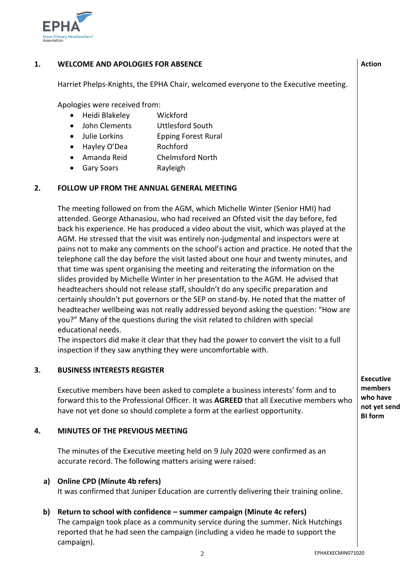

#### **1. WELCOME AND APOLOGIES FOR ABSENCE**

Harriet Phelps-Knights, the EPHA Chair, welcomed everyone to the Executive meeting.

Apologies were received from:

- Heidi Blakeley Wickford
- John Clements Uttlesford South
- Julie Lorkins **Epping Forest Rural**
- Hayley O'Dea Rochford
- Amanda Reid Chelmsford North
- Gary Soars **Rayleigh**

#### **2. FOLLOW UP FROM THE ANNUAL GENERAL MEETING**

The meeting followed on from the AGM, which Michelle Winter (Senior HMI) had attended. George Athanasiou, who had received an Ofsted visit the day before, fed back his experience. He has produced a video about the visit, which was played at the AGM. He stressed that the visit was entirely non-judgmental and inspectors were at pains not to make any comments on the school's action and practice. He noted that the telephone call the day before the visit lasted about one hour and twenty minutes, and that time was spent organising the meeting and reiterating the information on the slides provided by Michelle Winter in her presentation to the AGM. He advised that headteachers should not release staff, shouldn't do any specific preparation and certainly shouldn't put governors or the SEP on stand-by. He noted that the matter of headteacher wellbeing was not really addressed beyond asking the question: "How are you?" Many of the questions during the visit related to children with special educational needs.

The inspectors did make it clear that they had the power to convert the visit to a full inspection if they saw anything they were uncomfortable with.

#### **3. BUSINESS INTERESTS REGISTER**

Executive members have been asked to complete a business interests' form and to forward this to the Professional Officer. It was **AGREED** that all Executive members who have not yet done so should complete a form at the earliest opportunity.

#### **4. MINUTES OF THE PREVIOUS MEETING**

The minutes of the Executive meeting held on 9 July 2020 were confirmed as an accurate record. The following matters arising were raised:

#### **a) Online CPD (Minute 4b refers)**

It was confirmed that Juniper Education are currently delivering their training online.

### **b) Return to school with confidence – summer campaign (Minute 4c refers)**

The campaign took place as a community service during the summer. Nick Hutchings reported that he had seen the campaign (including a video he made to support the campaign).

**Executive members who have not yet send BI form**

**Action**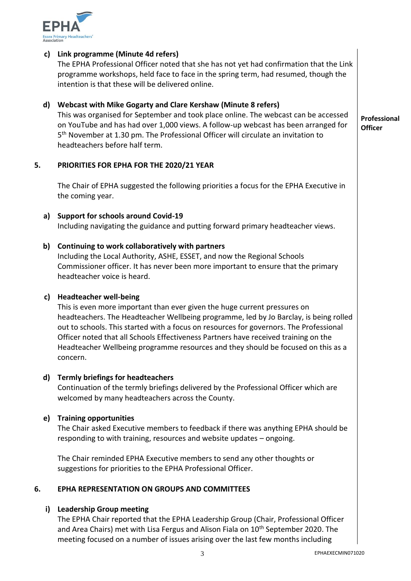

#### **c) Link programme (Minute 4d refers)**

The EPHA Professional Officer noted that she has not yet had confirmation that the Link programme workshops, held face to face in the spring term, had resumed, though the intention is that these will be delivered online.

## **d) Webcast with Mike Gogarty and Clare Kershaw (Minute 8 refers)**

This was organised for September and took place online. The webcast can be accessed on YouTube and has had over 1,000 views. A follow-up webcast has been arranged for 5<sup>th</sup> November at 1.30 pm. The Professional Officer will circulate an invitation to headteachers before half term.

#### **5. PRIORITIES FOR EPHA FOR THE 2020/21 YEAR**

The Chair of EPHA suggested the following priorities a focus for the EPHA Executive in the coming year.

**a) Support for schools around Covid-19** Including navigating the guidance and putting forward primary headteacher views.

### **b) Continuing to work collaboratively with partners**

Including the Local Authority, ASHE, ESSET, and now the Regional Schools Commissioner officer. It has never been more important to ensure that the primary headteacher voice is heard.

#### **c) Headteacher well-being**

This is even more important than ever given the huge current pressures on headteachers. The Headteacher Wellbeing programme, led by Jo Barclay, is being rolled out to schools. This started with a focus on resources for governors. The Professional Officer noted that all Schools Effectiveness Partners have received training on the Headteacher Wellbeing programme resources and they should be focused on this as a concern.

#### **d) Termly briefings for headteachers**

Continuation of the termly briefings delivered by the Professional Officer which are welcomed by many headteachers across the County.

### **e) Training opportunities**

The Chair asked Executive members to feedback if there was anything EPHA should be responding to with training, resources and website updates – ongoing.

The Chair reminded EPHA Executive members to send any other thoughts or suggestions for priorities to the EPHA Professional Officer.

#### **6. EPHA REPRESENTATION ON GROUPS AND COMMITTEES**

#### **i) Leadership Group meeting**

The EPHA Chair reported that the EPHA Leadership Group (Chair, Professional Officer and Area Chairs) met with Lisa Fergus and Alison Fiala on 10<sup>th</sup> September 2020. The meeting focused on a number of issues arising over the last few months including

**Professional Officer**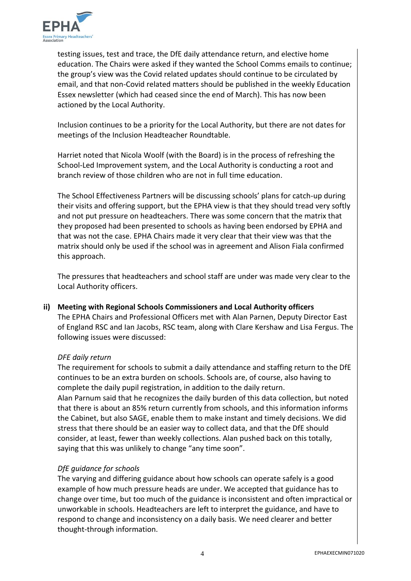

testing issues, test and trace, the DfE daily attendance return, and elective home education. The Chairs were asked if they wanted the School Comms emails to continue; the group's view was the Covid related updates should continue to be circulated by email, and that non-Covid related matters should be published in the weekly Education Essex newsletter (which had ceased since the end of March). This has now been actioned by the Local Authority.

Inclusion continues to be a priority for the Local Authority, but there are not dates for meetings of the Inclusion Headteacher Roundtable.

Harriet noted that Nicola Woolf (with the Board) is in the process of refreshing the School-Led Improvement system, and the Local Authority is conducting a root and branch review of those children who are not in full time education.

The School Effectiveness Partners will be discussing schools' plans for catch-up during their visits and offering support, but the EPHA view is that they should tread very softly and not put pressure on headteachers. There was some concern that the matrix that they proposed had been presented to schools as having been endorsed by EPHA and that was not the case. EPHA Chairs made it very clear that their view was that the matrix should only be used if the school was in agreement and Alison Fiala confirmed this approach.

The pressures that headteachers and school staff are under was made very clear to the Local Authority officers.

#### **ii) Meeting with Regional Schools Commissioners and Local Authority officers**

The EPHA Chairs and Professional Officers met with Alan Parnen, Deputy Director East of England RSC and Ian Jacobs, RSC team, along with Clare Kershaw and Lisa Fergus. The following issues were discussed:

#### *DFE daily return*

The requirement for schools to submit a daily attendance and staffing return to the DfE continues to be an extra burden on schools. Schools are, of course, also having to complete the daily pupil registration, in addition to the daily return. Alan Parnum said that he recognizes the daily burden of this data collection, but noted that there is about an 85% return currently from schools, and this information informs the Cabinet, but also SAGE, enable them to make instant and timely decisions. We did stress that there should be an easier way to collect data, and that the DfE should consider, at least, fewer than weekly collections. Alan pushed back on this totally, saying that this was unlikely to change "any time soon".

### *DfE guidance for schools*

The varying and differing guidance about how schools can operate safely is a good example of how much pressure heads are under. We accepted that guidance has to change over time, but too much of the guidance is inconsistent and often impractical or unworkable in schools. Headteachers are left to interpret the guidance, and have to respond to change and inconsistency on a daily basis. We need clearer and better thought-through information.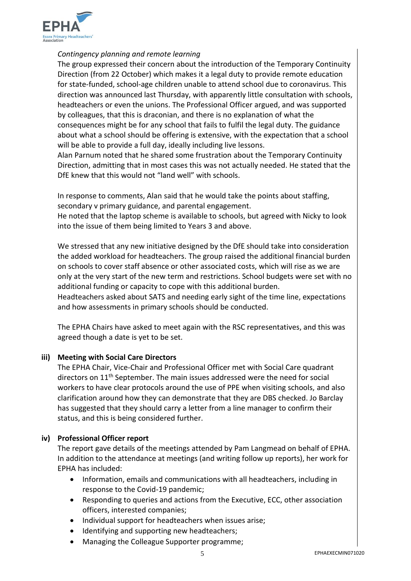

#### *Contingency planning and remote learning*

The group expressed their concern about the introduction of the Temporary Continuity Direction (from 22 October) which makes it a legal duty to provide remote education for state-funded, school-age children unable to attend school due to coronavirus. This direction was announced last Thursday, with apparently little consultation with schools, headteachers or even the unions. The Professional Officer argued, and was supported by colleagues, that this is draconian, and there is no explanation of what the consequences might be for any school that fails to fulfil the legal duty. The guidance about what a school should be offering is extensive, with the expectation that a school will be able to provide a full day, ideally including live lessons.

Alan Parnum noted that he shared some frustration about the Temporary Continuity Direction, admitting that in most cases this was not actually needed. He stated that the DfE knew that this would not "land well" with schools.

In response to comments, Alan said that he would take the points about staffing, secondary v primary guidance, and parental engagement.

He noted that the laptop scheme is available to schools, but agreed with Nicky to look into the issue of them being limited to Years 3 and above.

We stressed that any new initiative designed by the DfE should take into consideration the added workload for headteachers. The group raised the additional financial burden on schools to cover staff absence or other associated costs, which will rise as we are only at the very start of the new term and restrictions. School budgets were set with no additional funding or capacity to cope with this additional burden.

Headteachers asked about SATS and needing early sight of the time line, expectations and how assessments in primary schools should be conducted.

The EPHA Chairs have asked to meet again with the RSC representatives, and this was agreed though a date is yet to be set.

### **iii) Meeting with Social Care Directors**

The EPHA Chair, Vice-Chair and Professional Officer met with Social Care quadrant directors on 11<sup>th</sup> September. The main issues addressed were the need for social workers to have clear protocols around the use of PPE when visiting schools, and also clarification around how they can demonstrate that they are DBS checked. Jo Barclay has suggested that they should carry a letter from a line manager to confirm their status, and this is being considered further.

#### **iv) Professional Officer report**

The report gave details of the meetings attended by Pam Langmead on behalf of EPHA. In addition to the attendance at meetings (and writing follow up reports), her work for EPHA has included:

- Information, emails and communications with all headteachers, including in response to the Covid-19 pandemic;
- Responding to queries and actions from the Executive, ECC, other association officers, interested companies;
- Individual support for headteachers when issues arise:
- Identifying and supporting new headteachers;
- Managing the Colleague Supporter programme;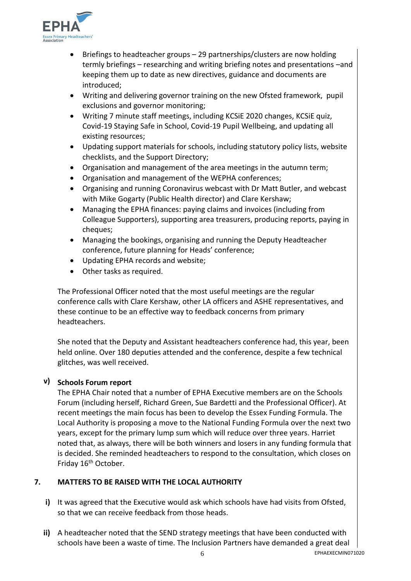

- Briefings to headteacher groups 29 partnerships/clusters are now holding termly briefings – researching and writing briefing notes and presentations –and keeping them up to date as new directives, guidance and documents are introduced;
- Writing and delivering governor training on the new Ofsted framework, pupil exclusions and governor monitoring;
- Writing 7 minute staff meetings, including KCSiE 2020 changes, KCSiE quiz, Covid-19 Staying Safe in School, Covid-19 Pupil Wellbeing, and updating all existing resources;
- Updating support materials for schools, including statutory policy lists, website checklists, and the Support Directory;
- Organisation and management of the area meetings in the autumn term;
- Organisation and management of the WEPHA conferences;
- Organising and running Coronavirus webcast with Dr Matt Butler, and webcast with Mike Gogarty (Public Health director) and Clare Kershaw;
- Managing the EPHA finances: paying claims and invoices (including from Colleague Supporters), supporting area treasurers, producing reports, paying in cheques;
- Managing the bookings, organising and running the Deputy Headteacher conference, future planning for Heads' conference;
- Updating EPHA records and website;
- Other tasks as required.

The Professional Officer noted that the most useful meetings are the regular conference calls with Clare Kershaw, other LA officers and ASHE representatives, and these continue to be an effective way to feedback concerns from primary headteachers.

She noted that the Deputy and Assistant headteachers conference had, this year, been held online. Over 180 deputies attended and the conference, despite a few technical glitches, was well received.

## **v) Schools Forum report**

The EPHA Chair noted that a number of EPHA Executive members are on the Schools Forum (including herself, Richard Green, Sue Bardetti and the Professional Officer). At recent meetings the main focus has been to develop the Essex Funding Formula. The Local Authority is proposing a move to the National Funding Formula over the next two years, except for the primary lump sum which will reduce over three years. Harriet noted that, as always, there will be both winners and losers in any funding formula that is decided. She reminded headteachers to respond to the consultation, which closes on Friday 16<sup>th</sup> October.

#### **7. MATTERS TO BE RAISED WITH THE LOCAL AUTHORITY**

- **i)** It was agreed that the Executive would ask which schools have had visits from Ofsted, so that we can receive feedback from those heads.
- **ii)** A headteacher noted that the SEND strategy meetings that have been conducted with schools have been a waste of time. The Inclusion Partners have demanded a great deal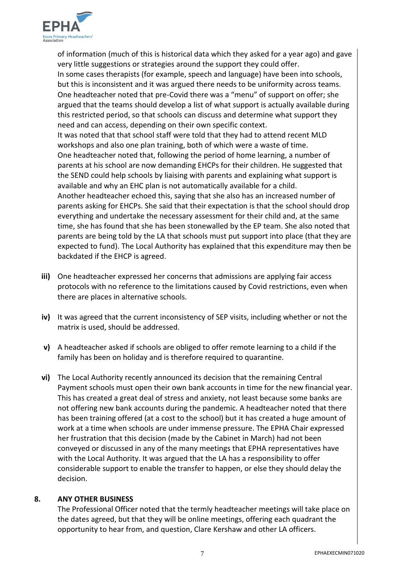

of information (much of this is historical data which they asked for a year ago) and gave very little suggestions or strategies around the support they could offer. In some cases therapists (for example, speech and language) have been into schools, but this is inconsistent and it was argued there needs to be uniformity across teams. One headteacher noted that pre-Covid there was a "menu" of support on offer; she argued that the teams should develop a list of what support is actually available during this restricted period, so that schools can discuss and determine what support they need and can access, depending on their own specific context. It was noted that that school staff were told that they had to attend recent MLD workshops and also one plan training, both of which were a waste of time. One headteacher noted that, following the period of home learning, a number of parents at his school are now demanding EHCPs for their children. He suggested that the SEND could help schools by liaising with parents and explaining what support is available and why an EHC plan is not automatically available for a child. Another headteacher echoed this, saying that she also has an increased number of parents asking for EHCPs. She said that their expectation is that the school should drop everything and undertake the necessary assessment for their child and, at the same time, she has found that she has been stonewalled by the EP team. She also noted that parents are being told by the LA that schools must put support into place (that they are expected to fund). The Local Authority has explained that this expenditure may then be backdated if the EHCP is agreed.

- **iii)** One headteacher expressed her concerns that admissions are applying fair access protocols with no reference to the limitations caused by Covid restrictions, even when there are places in alternative schools.
- **iv)** It was agreed that the current inconsistency of SEP visits, including whether or not the matrix is used, should be addressed.
- **v)** A headteacher asked if schools are obliged to offer remote learning to a child if the family has been on holiday and is therefore required to quarantine.
- **vi)** The Local Authority recently announced its decision that the remaining Central Payment schools must open their own bank accounts in time for the new financial year. This has created a great deal of stress and anxiety, not least because some banks are not offering new bank accounts during the pandemic. A headteacher noted that there has been training offered (at a cost to the school) but it has created a huge amount of work at a time when schools are under immense pressure. The EPHA Chair expressed her frustration that this decision (made by the Cabinet in March) had not been conveyed or discussed in any of the many meetings that EPHA representatives have with the Local Authority. It was argued that the LA has a responsibility to offer considerable support to enable the transfer to happen, or else they should delay the decision.

#### **8. ANY OTHER BUSINESS**

The Professional Officer noted that the termly headteacher meetings will take place on the dates agreed, but that they will be online meetings, offering each quadrant the opportunity to hear from, and question, Clare Kershaw and other LA officers.